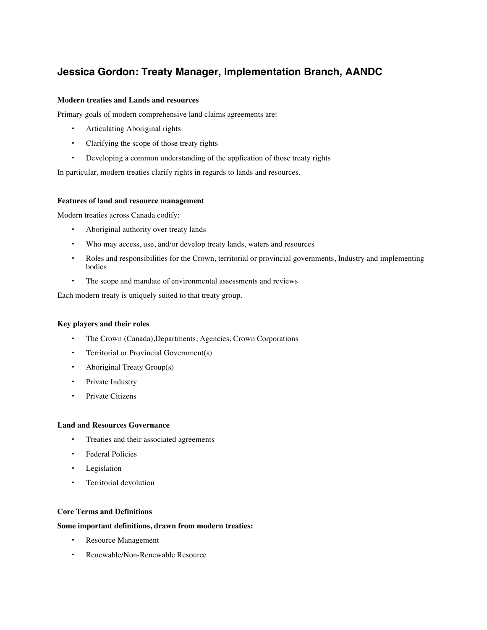# **Jessica Gordon: Treaty Manager, Implementation Branch, AANDC**

# **Modern treaties and Lands and resources**

Primary goals of modern comprehensive land claims agreements are:

- Articulating Aboriginal rights
- Clarifying the scope of those treaty rights
- Developing a common understanding of the application of those treaty rights

In particular, modern treaties clarify rights in regards to lands and resources.

# **Features of land and resource management**

Modern treaties across Canada codify:

- Aboriginal authority over treaty lands
- Who may access, use, and/or develop treaty lands, waters and resources
- Roles and responsibilities for the Crown, territorial or provincial governments, Industry and implementing bodies
- The scope and mandate of environmental assessments and reviews

Each modern treaty is uniquely suited to that treaty group.

#### **Key players and their roles**

- The Crown (Canada),Departments, Agencies, Crown Corporations
- Territorial or Provincial Government(s)
- Aboriginal Treaty Group(s)
- Private Industry
- Private Citizens

#### **Land and Resources Governance**

- Treaties and their associated agreements
- Federal Policies
- Legislation
- Territorial devolution

# **Core Terms and Definitions**

# **Some important definitions, drawn from modern treaties:**

- Resource Management
- Renewable/Non-Renewable Resource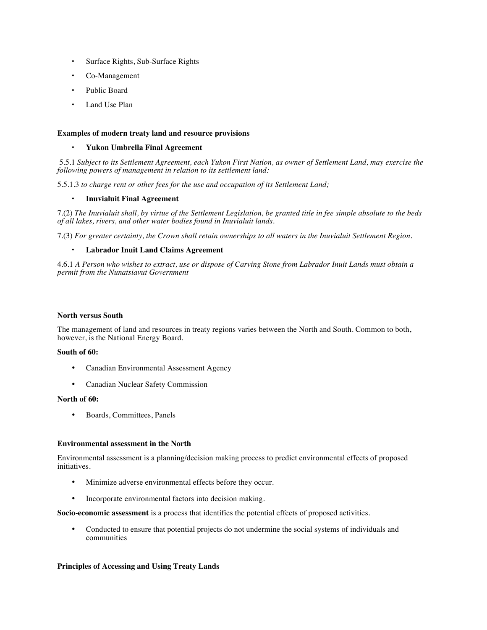- Surface Rights, Sub-Surface Rights
- Co-Management
- Public Board
- Land Use Plan

# **Examples of modern treaty land and resource provisions**

#### • **Yukon Umbrella Final Agreement**

5.5.1 *Subject to its Settlement Agreement, each Yukon First Nation, as owner of Settlement Land, may exercise the following powers of management in relation to its settlement land:*

5.5.1.3 *to charge rent or other fees for the use and occupation of its Settlement Land;*

# • **Inuvialuit Final Agreement**

7.(2) *The Inuvialuit shall, by virtue of the Settlement Legislation, be granted title in fee simple absolute to the beds of all lakes, rivers, and other water bodies found in Inuvialuit lands.*

7.(3) *For greater certainty, the Crown shall retain ownerships to all waters in the Inuvialuit Settlement Region.*

# • **Labrador Inuit Land Claims Agreement**

4.6.1 *A Person who wishes to extract, use or dispose of Carving Stone from Labrador Inuit Lands must obtain a permit from the Nunatsiavut Government*

#### **North versus South**

The management of land and resources in treaty regions varies between the North and South. Common to both, however, is the National Energy Board.

#### **South of 60:**

- Canadian Environmental Assessment Agency
- Canadian Nuclear Safety Commission

#### **North of 60:**

• Boards, Committees, Panels

#### **Environmental assessment in the North**

Environmental assessment is a planning/decision making process to predict environmental effects of proposed initiatives.

- Minimize adverse environmental effects before they occur.
- Incorporate environmental factors into decision making.

**Socio-economic assessment** is a process that identifies the potential effects of proposed activities.

• Conducted to ensure that potential projects do not undermine the social systems of individuals and communities

#### **Principles of Accessing and Using Treaty Lands**